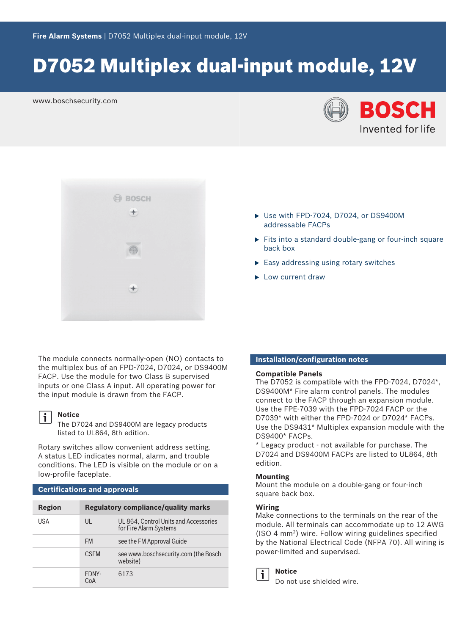# D7052 Multiplex dual-input module, 12V

www.boschsecurity.com





The module connects normally‑open (NO) contacts to the multiplex bus of an FPD‑7024, D7024, or DS9400M FACP. Use the module for two Class B supervised inputs or one Class A input. All operating power for the input module is drawn from the FACP.

#### **Notice**  $\mathbf i$

The D7024 and DS9400M are legacy products listed to UL864, 8th edition.

Rotary switches allow convenient address setting. A status LED indicates normal, alarm, and trouble conditions. The LED is visible on the module or on a low‑profile faceplate.

#### **Certifications and approvals**

| Region |              | <b>Regulatory compliance/quality marks</b>                      |
|--------|--------------|-----------------------------------------------------------------|
| USA    | $\mathsf{U}$ | UL 864, Control Units and Accessories<br>for Fire Alarm Systems |
|        | <b>FM</b>    | see the FM Approval Guide                                       |
|        | <b>CSEM</b>  | see www.boschsecurity.com (the Bosch<br>website)                |
|        | FDNY-<br>C∩∆ | 6173                                                            |

- $\triangleright$  Use with FPD-7024, D7024, or DS9400M addressable FACPs
- ▶ Fits into a standard double-gang or four-inch square back box
- $\blacktriangleright$  Easy addressing using rotary switches
- $\blacktriangleright$  Low current draw

### **Installation/configuration notes**

#### **Compatible Panels**

The D7052 is compatible with the FPD-7024, D7024\*, DS9400M\* Fire alarm control panels. The modules connect to the FACP through an expansion module. Use the FPE‑7039 with the FPD-7024 FACP or the D7039\* with either the FPD‑7024 or D7024\* FACPs. Use the DS9431\* Multiplex expansion module with the DS9400\* FACPs.

\* Legacy product - not available for purchase. The D7024 and DS9400M FACPs are listed to UL864, 8th edition.

#### **Mounting**

Mount the module on a double-gang or four-inch square back box.

#### **Wiring**

Make connections to the terminals on the rear of the module. All terminals can accommodate up to 12 AWG (ISO 4 mm<sup>2</sup> ) wire. Follow wiring guidelines specified by the National Electrical Code (NFPA 70). All wiring is power-limited and supervised.

| i<br>S |  |
|--------|--|
|        |  |

**Notice**

Do not use shielded wire.